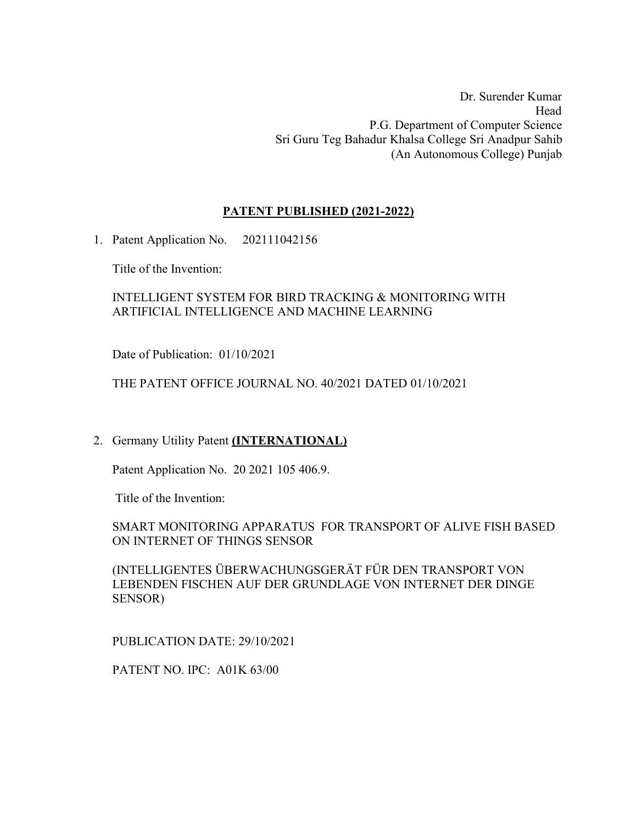Dr. Surender Kumar Head P.G. Department of Computer Science Sri Guru Teg Bahadur Khalsa College Sri Anadpur Sahib (An Autonomous College) Punjab

## **PATENT PUBLISHED (2021-2022)**

1. Patent Application No. 202111042156

Title of the Invention:

## INTELLIGENT SYSTEM FOR BIRD TRACKING & MONITORING WITH ARTIFICIAL INTELLIGENCE AND MACHINE LEARNING

Date of Publication: 01/10/2021

## THE PATENT OFFICE JOURNAL NO. 40/2021 DATED 01/10/2021

# 2. Germany Utility Patent **(INTERNATIONAL)**

Patent Application No. 20 2021 105 406.9.

Title of the Invention:

## SMART MONITORING APPARATUS FOR TRANSPORT OF ALIVE FISH BASED ON INTERNET OF THINGS SENSOR

(INTELLIGENTES ÜBERWACHUNGSGERÄT FÜR DEN TRANSPORT VON LEBENDEN FISCHEN AUF DER GRUNDLAGE VON INTERNET DER DINGE SENSOR)

PUBLICATION DATE: 29/10/2021

PATENT NO. IPC: A01K 63/00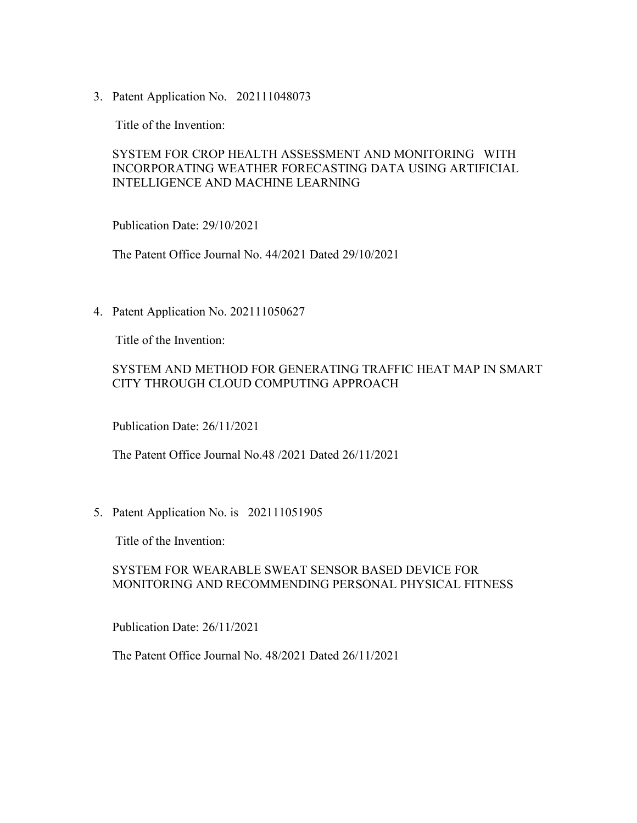3. Patent Application No. 202111048073

Title of the Invention:

## SYSTEM FOR CROP HEALTH ASSESSMENT AND MONITORING WITH INCORPORATING WEATHER FORECASTING DATA USING ARTIFICIAL INTELLIGENCE AND MACHINE LEARNING

Publication Date: 29/10/2021

The Patent Office Journal No. 44/2021 Dated 29/10/2021

4. Patent Application No. 202111050627

Title of the Invention:

## SYSTEM AND METHOD FOR GENERATING TRAFFIC HEAT MAP IN SMART CITY THROUGH CLOUD COMPUTING APPROACH

Publication Date: 26/11/2021

The Patent Office Journal No.48 /2021 Dated 26/11/2021

5. Patent Application No. is 202111051905

Title of the Invention:

#### SYSTEM FOR WEARABLE SWEAT SENSOR BASED DEVICE FOR MONITORING AND RECOMMENDING PERSONAL PHYSICAL FITNESS

Publication Date: 26/11/2021

The Patent Office Journal No. 48/2021 Dated 26/11/2021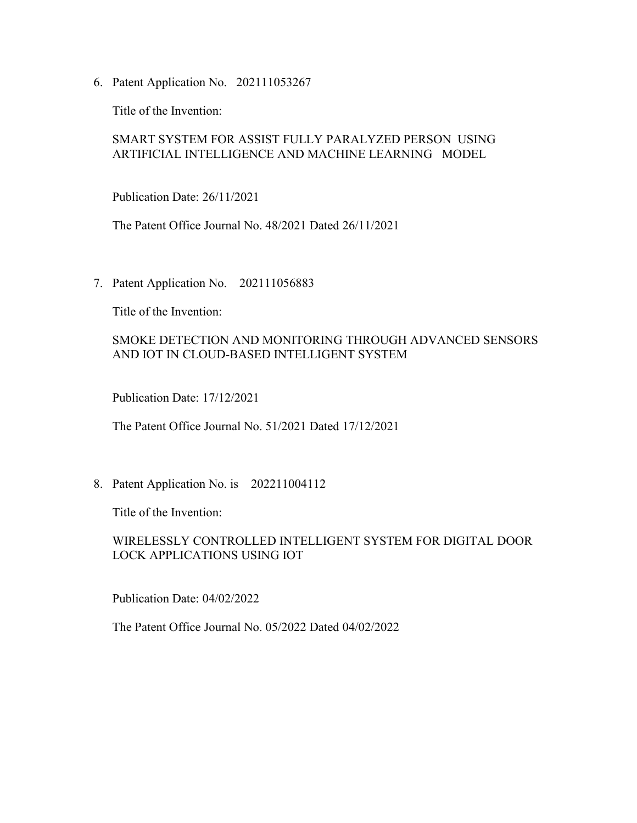6. Patent Application No. 202111053267

Title of the Invention:

## SMART SYSTEM FOR ASSIST FULLY PARALYZED PERSON USING ARTIFICIAL INTELLIGENCE AND MACHINE LEARNING MODEL

Publication Date: 26/11/2021

The Patent Office Journal No. 48/2021 Dated 26/11/2021

7. Patent Application No. 202111056883

Title of the Invention:

## SMOKE DETECTION AND MONITORING THROUGH ADVANCED SENSORS AND IOT IN CLOUD-BASED INTELLIGENT SYSTEM

Publication Date: 17/12/2021

The Patent Office Journal No. 51/2021 Dated 17/12/2021

8. Patent Application No. is 202211004112

Title of the Invention:

## WIRELESSLY CONTROLLED INTELLIGENT SYSTEM FOR DIGITAL DOOR LOCK APPLICATIONS USING IOT

Publication Date: 04/02/2022

The Patent Office Journal No. 05/2022 Dated 04/02/2022